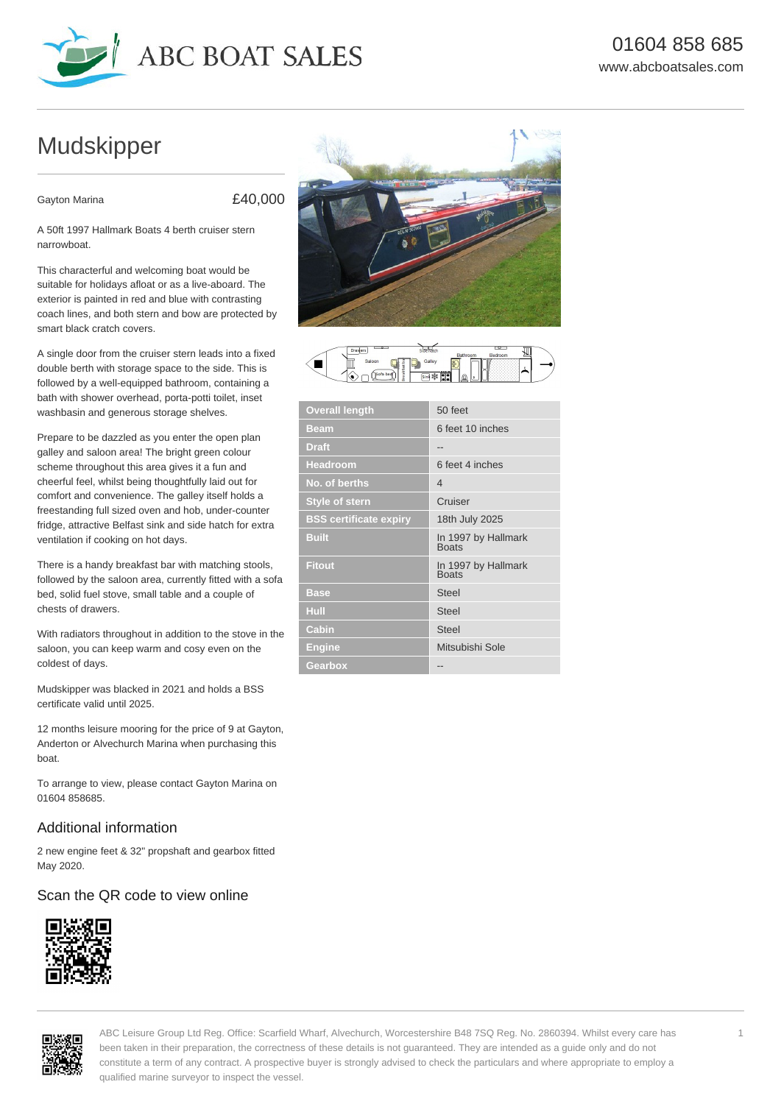

# Mudskipper

Gayton Marina **E40,000** 

A 50ft 1997 Hallmark Boats 4 berth cruiser stern narrowboat.

This characterful and welcoming boat would be suitable for holidays afloat or as a live-aboard. The exterior is painted in red and blue with contrasting coach lines, and both stern and bow are protected by smart black cratch covers.

A single door from the cruiser stern leads into a fixed double berth with storage space to the side. This is followed by a well-equipped bathroom, containing a bath with shower overhead, porta-potti toilet, inset washbasin and generous storage shelves.

Prepare to be dazzled as you enter the open plan galley and saloon area! The bright green colour scheme throughout this area gives it a fun and cheerful feel, whilst being thoughtfully laid out for comfort and convenience. The galley itself holds a freestanding full sized oven and hob, under-counter fridge, attractive Belfast sink and side hatch for extra ventilation if cooking on hot days.

There is a handy breakfast bar with matching stools, followed by the saloon area, currently fitted with a sofa bed, solid fuel stove, small table and a couple of chests of drawers.

With radiators throughout in addition to the stove in the saloon, you can keep warm and cosy even on the coldest of days.

Mudskipper was blacked in 2021 and holds a BSS certificate valid until 2025.

12 months leisure mooring for the price of 9 at Gayton, Anderton or Alvechurch Marina when purchasing this boat.

To arrange to view, please contact Gayton Marina on 01604 858685.

# Additional information

2 new engine feet & 32" propshaft and gearbox fitted May 2020.

# Scan the QR code to view online









| <b>Overall length</b>         | 50 feet                             |
|-------------------------------|-------------------------------------|
| <b>Beam</b>                   | 6 feet 10 inches                    |
| <b>Draft</b>                  |                                     |
| <b>Headroom</b>               | 6 feet 4 inches                     |
| No. of berths                 | $\overline{4}$                      |
| <b>Style of stern</b>         | Cruiser                             |
| <b>BSS certificate expiry</b> | 18th July 2025                      |
| <b>Built</b>                  | In 1997 by Hallmark<br><b>Boats</b> |
| <b>Fitout</b>                 | In 1997 by Hallmark<br><b>Boats</b> |
| <b>Base</b>                   | <b>Steel</b>                        |
| Hull                          | <b>Steel</b>                        |
| Cabin                         | <b>Steel</b>                        |
| <b>Engine</b>                 | Mitsubishi Sole                     |
| Gearbox                       | --                                  |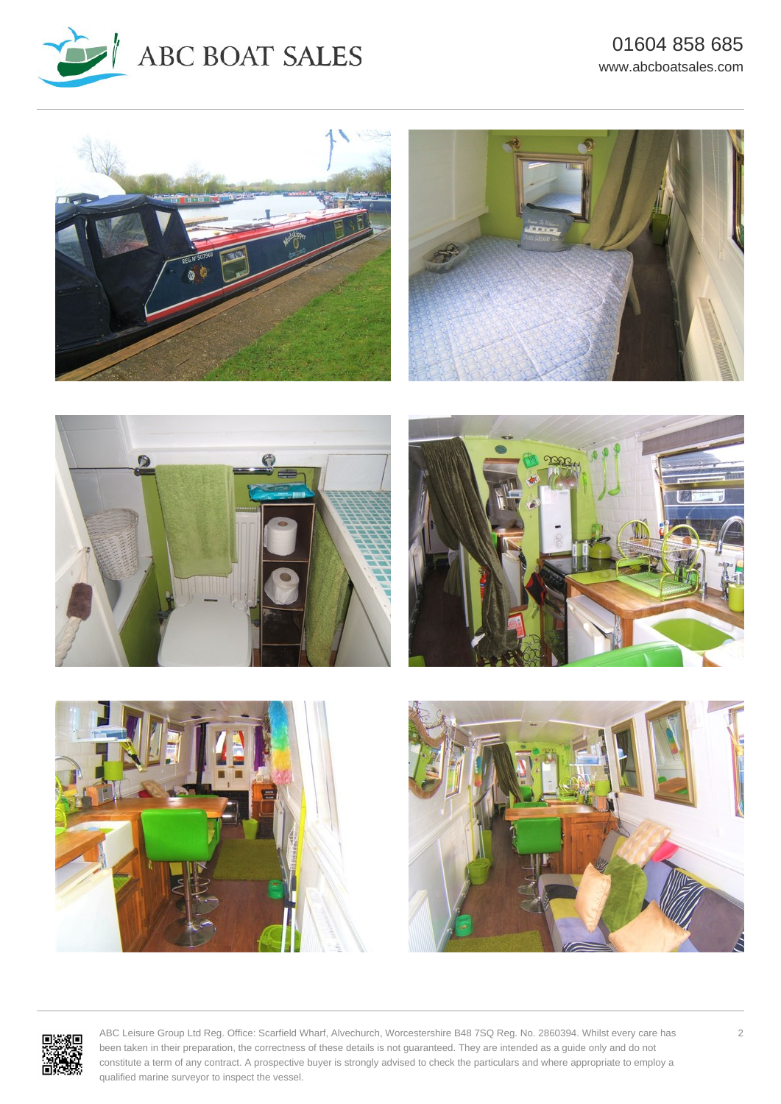







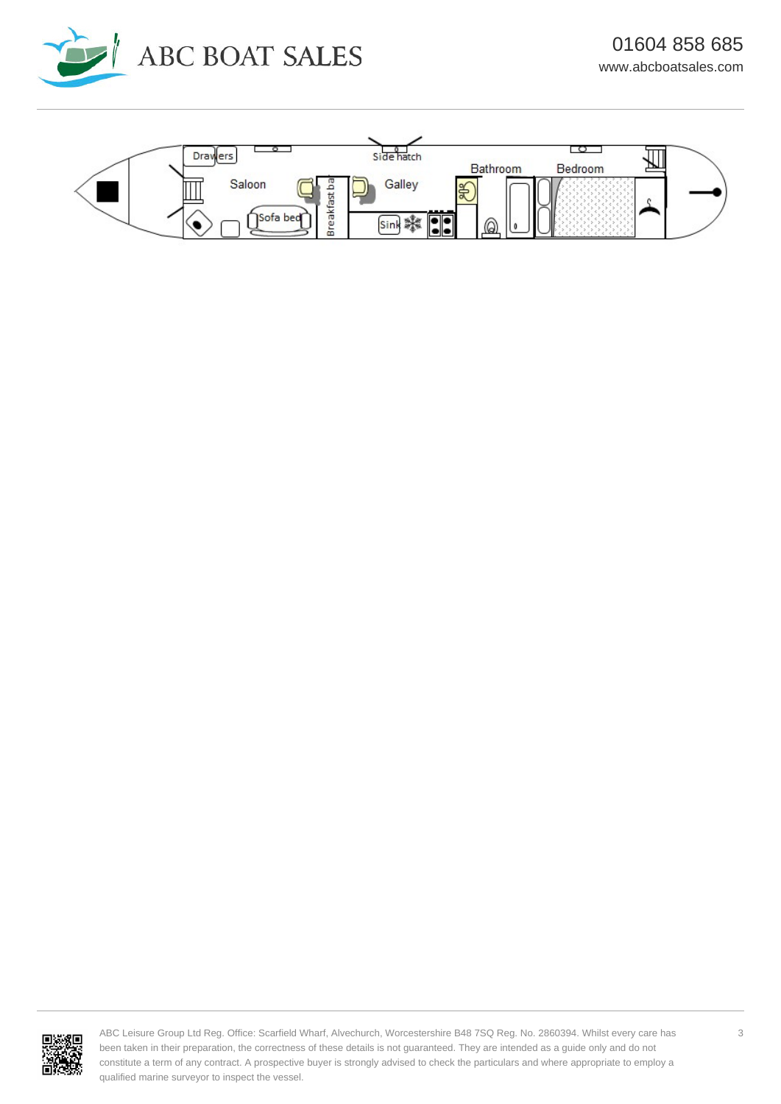



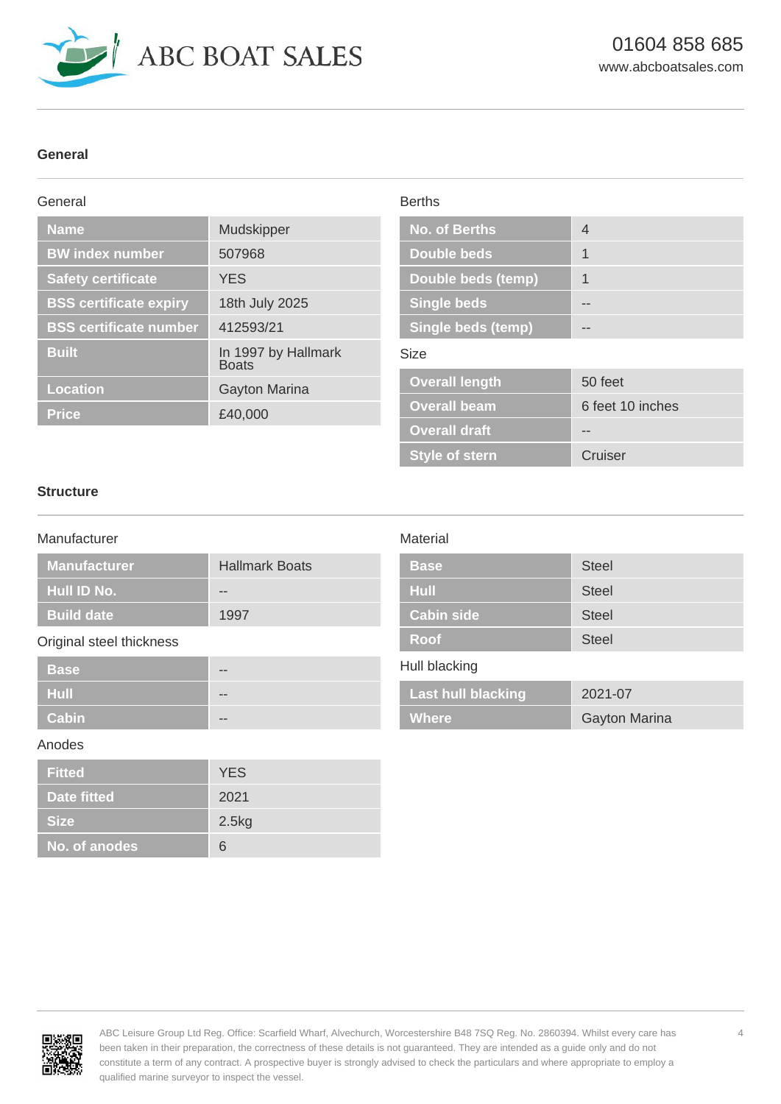

# **General**

#### General **Name** Mudskipper **BW index number 507968 Safety certificate** YES **BSS certificate expiry** 18th July 2025 **BSS certificate number** 412593/21 **Built Built** In 1997 by Hallmark **Boats Location Gayton Marina Price** £40,000 Berths **No. of Berths** 4 **Double beds** 1 **Double beds (temp)** 1 **Single beds Fig. 1. Single beds (temp)** Size **Overall length** 50 feet **Overall beam** 6 feet 10 inches **Overall draft Algebrary --**

# **Structure**

# Manufacturer

| <b>Manufacturer</b> | <b>Hallmark Boats</b> |
|---------------------|-----------------------|
| <b>Hull ID No.</b>  | --                    |
| <b>Build date</b>   | 1997                  |

# Original steel thickness

| <b>Base</b>  | $- -$ |
|--------------|-------|
| <b>Hull</b>  | $- -$ |
| <b>Cabin</b> | $- -$ |

#### Anodes

| <b>Fitted</b>      | <b>YES</b> |
|--------------------|------------|
| <b>Date fitted</b> | 2021       |
| <b>Size</b>        | 2.5kg      |
| No. of anodes      | 6          |

# **Material**

| <b>Base</b>       | <b>Steel</b> |
|-------------------|--------------|
| Hull              | <b>Steel</b> |
| <b>Cabin side</b> | <b>Steel</b> |
| <b>Roof</b>       | <b>Steel</b> |

**Style of stern Cruiser** 

# Hull blacking

| <b>Last hull blacking</b> | 2021-07              |
|---------------------------|----------------------|
| <b>Where</b>              | <b>Gayton Marina</b> |

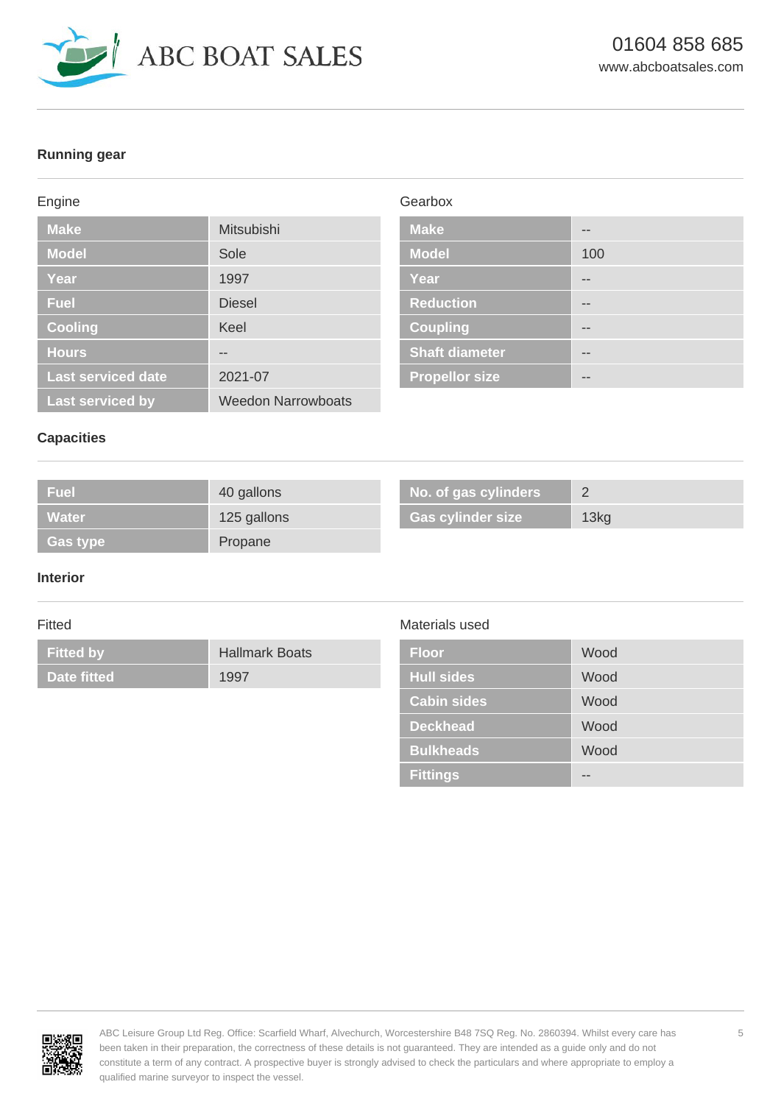

# **Running gear**

#### Engine

| <b>Make</b>               | Mitsubishi                |
|---------------------------|---------------------------|
| <b>Model</b>              | Sole                      |
| Year                      | 1997                      |
| <b>Fuel</b>               | <b>Diesel</b>             |
| <b>Cooling</b>            | Keel                      |
| <b>Hours</b>              |                           |
| <b>Last serviced date</b> | 2021-07                   |
| <b>Last serviced by</b>   | <b>Weedon Narrowboats</b> |

# Gearbox

| <b>Make</b>           |     |
|-----------------------|-----|
| <b>Model</b>          | 100 |
| <b>Year</b>           | --  |
| <b>Reduction</b>      | --  |
| <b>Coupling</b>       | --  |
| <b>Shaft diameter</b> | --  |
| <b>Propellor size</b> |     |

# **Capacities**

| <b>Fuel</b> | 40 gallons  | No. of gas cylinders     |      |
|-------------|-------------|--------------------------|------|
| Water       | 125 gallons | <b>Gas cylinder size</b> | 13kg |
| 「Gas type」  | Propane     |                          |      |

#### **Interior**

# Fitted

**Fitted by Hallmark Boats Date fitted** 1997

# Materials used

| <b>Floor</b>       | Wood |
|--------------------|------|
| <b>Hull sides</b>  | Wood |
| <b>Cabin sides</b> | Wood |
| <b>Deckhead</b>    | Wood |
| <b>Bulkheads</b>   | Wood |
| <b>Fittings</b>    |      |